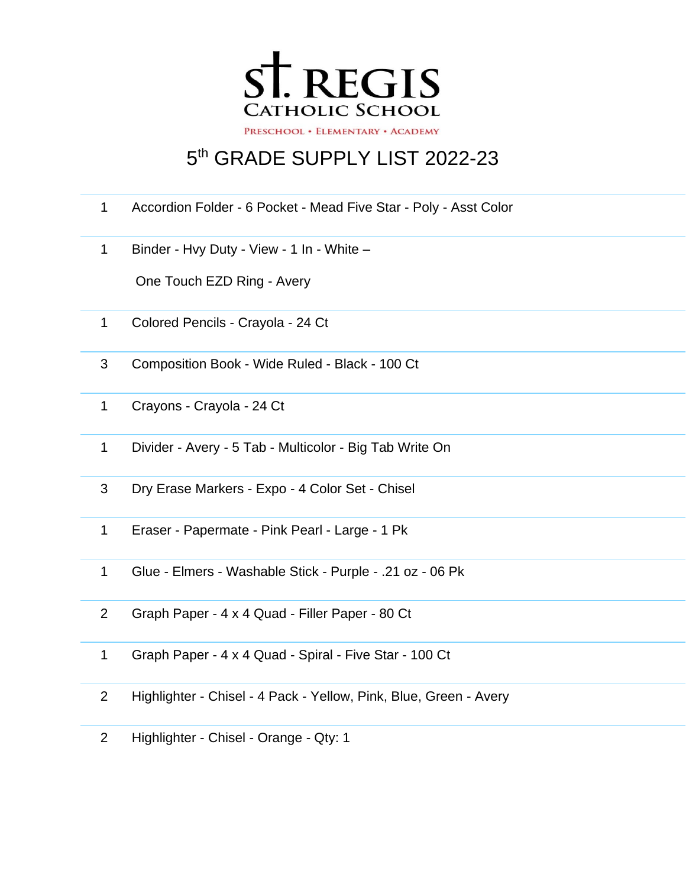

## th GRADE SUPPLY LIST 2022-23

- Accordion Folder 6 Pocket Mead Five Star Poly Asst Color
- Binder Hvy Duty View 1 In White –

One Touch EZD Ring - Avery

- Colored Pencils Crayola 24 Ct
- Composition Book Wide Ruled Black 100 Ct
- Crayons Crayola 24 Ct
- Divider Avery 5 Tab Multicolor Big Tab Write On
- Dry Erase Markers Expo 4 Color Set Chisel
- Eraser Papermate Pink Pearl Large 1 Pk
- Glue Elmers Washable Stick Purple .21 oz 06 Pk
- Graph Paper 4 x 4 Quad Filler Paper 80 Ct
- Graph Paper 4 x 4 Quad Spiral Five Star 100 Ct
- Highlighter Chisel 4 Pack Yellow, Pink, Blue, Green Avery
- Highlighter Chisel Orange Qty: 1